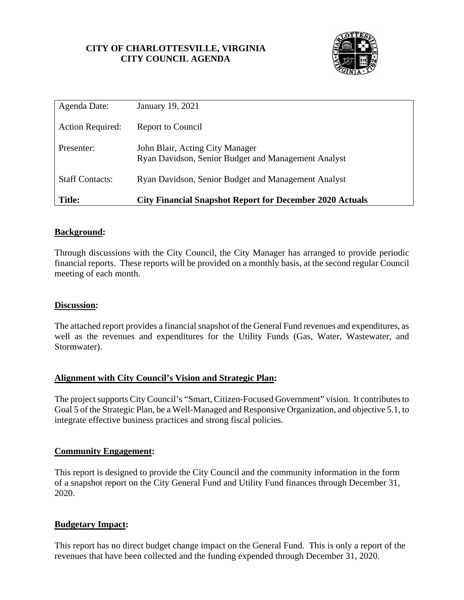### **CITY OF CHARLOTTESVILLE, VIRGINIA CITY COUNCIL AGENDA**



| Agenda Date:            | January 19, 2021                                                                       |
|-------------------------|----------------------------------------------------------------------------------------|
| <b>Action Required:</b> | <b>Report to Council</b>                                                               |
| Presenter:              | John Blair, Acting City Manager<br>Ryan Davidson, Senior Budget and Management Analyst |
| <b>Staff Contacts:</b>  | Ryan Davidson, Senior Budget and Management Analyst                                    |
| <b>Title:</b>           | <b>City Financial Snapshot Report for December 2020 Actuals</b>                        |

### **Background:**

Through discussions with the City Council, the City Manager has arranged to provide periodic financial reports. These reports will be provided on a monthly basis, at the second regular Council meeting of each month.

### **Discussion:**

The attached report provides a financial snapshot of the General Fund revenues and expenditures, as well as the revenues and expenditures for the Utility Funds (Gas, Water, Wastewater, and Stormwater).

### **Alignment with City Council's Vision and Strategic Plan:**

The project supports City Council's "Smart, Citizen-Focused Government" vision. It contributes to Goal 5 of the Strategic Plan, be a Well-Managed and Responsive Organization, and objective 5.1, to integrate effective business practices and strong fiscal policies.

### **Community Engagement:**

This report is designed to provide the City Council and the community information in the form of a snapshot report on the City General Fund and Utility Fund finances through December 31, 2020.

### **Budgetary Impact:**

This report has no direct budget change impact on the General Fund. This is only a report of the revenues that have been collected and the funding expended through December 31, 2020.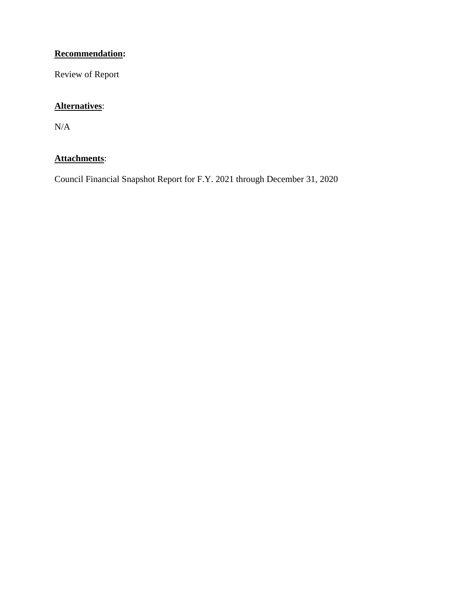### **Recommendation:**

Review of Report

## **Alternatives**:

 $\rm N/A$ 

### **Attachments**:

Council Financial Snapshot Report for F.Y. 2021 through December 31, 2020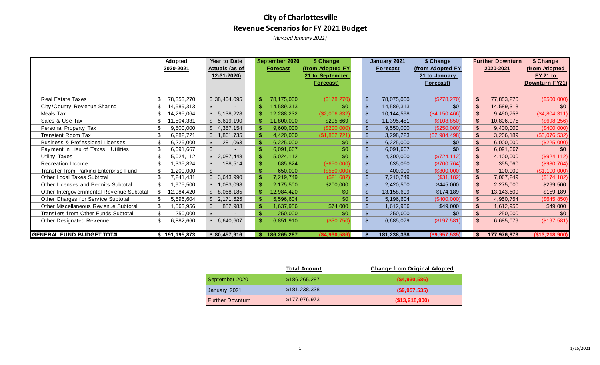# **City of Charlottesville Revenue Scenarios for FY 2021 Budget**

*(Revised January 2021)*

|                                           | Adopted       | Year to Date          |    | September 2020  | \$ Change        |                | January 2021    | \$ Change        |                | <b>Further Downturn</b> | \$ Change       |
|-------------------------------------------|---------------|-----------------------|----|-----------------|------------------|----------------|-----------------|------------------|----------------|-------------------------|-----------------|
|                                           | 2020-2021     | <b>Actuals (as of</b> |    | <b>Forecast</b> | (from Adopted FY |                | <b>Forecast</b> | (from Adopted FY |                | 2020-2021               | (from Adopted   |
|                                           |               | 12-31-2020)           |    |                 | 21 to September  |                |                 | 21 to January    |                |                         | <b>FY 21 to</b> |
|                                           |               |                       |    |                 | <b>Forecast)</b> |                |                 | <b>Forecast)</b> |                |                         | Downturn FY21)  |
|                                           |               |                       |    |                 |                  |                |                 |                  |                |                         |                 |
| <b>Real Estate Taxes</b>                  | 78,353,270    | \$38,404,095          | ß. | 78,175,000      | (\$178,270)      | \$             | 78,075,000      | (\$278,270)      | \$             | 77,853,270              | (\$500,000)     |
| City/County Revenue Sharing               | 14,589,313    | \$                    |    | 14,589,313      | \$0              | $\mathfrak{L}$ | 14,589,313      | \$0              | \$             | 14,589,313              | \$0             |
| Meals Tax                                 | 14,295,064    | \$5,138,228           |    | 12,288,232      | (\$2,006,832)    | \$             | 10,144,598      | (\$4, 150, 466)  | $\mathfrak{L}$ | 9,490,753               | (\$4,804,311)   |
| Sales & Use Tax                           | 11,504,331    | \$5,619,190           |    | 11,800,000      | \$295,669        | $\mathfrak{L}$ | 11,395,481      | (\$108, 850)     | \$             | 10,806,075              | (\$698, 256)    |
| Personal Property Tax                     | 9,800,000     | \$4,387,154           |    | 9,600,000       | $(\$200,000)$    | \$             | 9,550,000       | (\$250,000)      | $\mathfrak{S}$ | 9,400,000               | (\$400,000)     |
| <b>Transient Room Tax</b>                 | 6,282,721     | \$1,861,735           |    | 4,420,000       | (\$1,862,721)    | $\mathfrak{L}$ | 3,298,223       | (\$2,984,498)    | $\frac{1}{2}$  | 3,206,189               | (\$3,076,532)   |
| Business & Professional Licenses          | 6,225,000     | 281,063               |    | 6,225,000       | \$0              | \$             | 6,225,000       | \$0              | $\mathfrak{S}$ | 6,000,000               | (\$225,000)     |
| Payment in Lieu of Taxes: Utilities       | 6,091,667     | \$                    |    | 6,091,667       | \$0              | $\mathfrak{L}$ | 6,091,667       | \$0              | $\sqrt{2}$     | 6,091,667               | \$0             |
| Utility Taxes                             | 5,024,112     | \$2,087,448           |    | 5,024,112       | \$0              | $\mathfrak{L}$ | 4,300,000       | (\$724, 112)     | $\frac{1}{2}$  | 4,100,000               | (\$924, 112)    |
| Recreation Income                         | 1,335,824     | 188,514               |    | 685,824         | (\$650,000)      | $\mathfrak{L}$ | 635,060         | (\$700, 764)     | $\frac{1}{2}$  | 355,060                 | (\$980,764)     |
| Transfer from Parking Enterprise Fund     | 1,200,000     | $\mathcal{L}$         |    | 650,000         | $($ \$550,000    | $\mathfrak{L}$ | 400,000         | (\$800,000)      | $\mathfrak{L}$ | 100,000                 | (\$1,100,000)   |
| <b>Other Local Taxes Subtotal</b>         | 7,241,431     | 3,643,990             |    | 7,219,749       | (\$21,682)       | $\mathfrak{L}$ | 7,210,249       | (\$31,182)       | $\frac{2}{3}$  | 7,067,249               | (\$174, 182)    |
| Other Licenses and Permits Subtotal       | 1,975,500     | 1,083,098             |    | 2,175,500       | \$200,000        | $\mathfrak{L}$ | 2,420,500       | \$445,000        | $\frac{2}{3}$  | 2,275,000               | \$299,500       |
| Other Intergov ernmental Revenue Subtotal | 12,984,420    | \$8,068,185           |    | 12,984,420      | \$0              | \$             | 13,158,609      | \$174,189        | $\mathfrak{L}$ | 13,143,609              | \$159,189       |
| Other Charges for Service Subtotal        | 5,596,604     | \$2,171,625           |    | 5,596,604       | \$0              | \$             | 5,196,604       | (\$400,000)      | $\mathfrak{S}$ | 4,950,754               | (\$645, 850)    |
| Other Miscellaneous Revenue Subtotal      | 1,563,956     | 882,983               |    | 1,637,956       | \$74,000         | \$             | 1,612,956       | \$49,000         | $\mathfrak{S}$ | 1,612,956               | \$49,000        |
| Transfers from Other Funds Subtotal       | 250,000       | $\mathfrak{L}$        | \$ | 250,000         | \$0              | $\mathfrak{L}$ | 250,000         | \$0              | $\mathfrak{S}$ | 250,000                 | \$0             |
| Other Designated Revenue                  | 6,882,660     | \$6,640,607           |    | 6,851,910       | (\$30,750)       | $\mathfrak{S}$ | 6,685,079       | (\$197,581)      | $\frac{1}{2}$  | 6,685,079               | (\$197,581)     |
|                                           |               |                       |    |                 |                  |                |                 |                  |                |                         |                 |
| GENERAL FUND BUDGET TOTAL                 | \$191,195,873 | \$80,457,916          |    | 186,265,287     | (\$4.930.586     |                | 181,238,338     | (\$9,957,535)    |                | 177,976,973             | (\$13,218,900)  |

|                         | <b>Total Amount</b> | <b>Change from Original Adopted</b> |
|-------------------------|---------------------|-------------------------------------|
| September 2020          | \$186,265,287       | $($ \$4,930,586)                    |
| January 2021            | \$181,238,338       | $($ \$9,957,535)                    |
| <b>Further Downturn</b> | \$177,976,973       | (\$13,218,900)                      |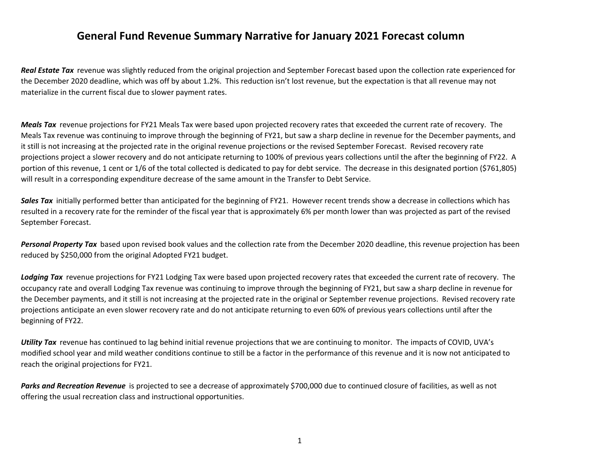## **General Fund Revenue Summary Narrative for January 2021 Forecast column**

*Real Estate Tax* revenue was slightly reduced from the original projection and September Forecast based upon the collection rate experienced for the December 2020 deadline, which was off by about 1.2%. This reduction isn't lost revenue, but the expectation is that all revenue may not materialize in the current fiscal due to slower payment rates.

*Meals Tax* revenue projections for FY21 Meals Tax were based upon projected recovery rates that exceeded the current rate of recovery. The Meals Tax revenue was continuing to improve through the beginning of FY21, but saw <sup>a</sup> sharp decline in revenue for the December payments, and it still is not increasing at the projected rate in the original revenue projections or the revised September Forecast. Revised recovery rate projections project <sup>a</sup> slower recovery and do not anticipate returning to 100% of previous years collections until the after the beginning of FY22. A portion of this revenue, <sup>1</sup> cent or 1/6 of the total collected is dedicated to pay for debt service. The decrease in this designated portion (\$761,805) will result in <sup>a</sup> corresponding expenditure decrease of the same amount in the Transfer to Debt Service.

*Sales Tax* initially performed better than anticipated for the beginning of FY21. However recent trends show <sup>a</sup> decrease in collections which has resulted in <sup>a</sup> recovery rate for the reminder of the fiscal year that is approximately 6% per month lower than was projected as part of the revised September Forecast.

*Personal Property Tax* based upon revised book values and the collection rate from the December 2020 deadline, this revenue projection has been reduced by \$250,000 from the original Adopted FY21 budget.

*Lodging Tax* revenue projections for FY21 Lodging Tax were based upon projected recovery rates that exceeded the current rate of recovery. The occupancy rate and overall Lodging Tax revenue was continuing to improve through the beginning of FY21, but saw <sup>a</sup> sharp decline in revenue for the December payments, and it still is not increasing at the projected rate in the original or September revenue projections. Revised recovery rate projections anticipate an even slower recovery rate and do not anticipate returning to even 60% of previous years collections until after the beginning of FY22.

*Utility Tax* revenue has continued to lag behind initial revenue projections that we are continuing to monitor. The impacts of COVID, UVA's modified school year and mild weather conditions continue to still be <sup>a</sup> factor in the performance of this revenue and it is now not anticipated to reach the original projections for FY21.

*Parks and Recreation Revenue* is projected to see <sup>a</sup> decrease of approximately \$700,000 due to continued closure of facilities, as well as not offering the usual recreation class and instructional opportunities.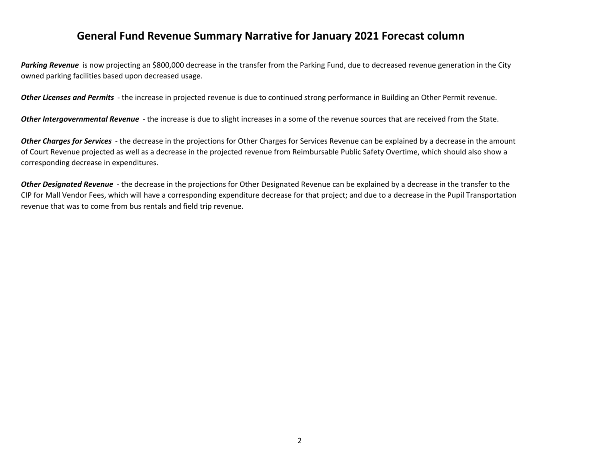## **General Fund Revenue Summary Narrative for January 2021 Forecast column**

*Parking Revenue* is now projecting an \$800,000 decrease in the transfer from the Parking Fund, due to decreased revenue generation in the City owned parking facilities based upon decreased usage.

*Other Licenses and Permits* ‐ the increase in projected revenue is due to continued strong performance in Building an Other Permit revenue.

*Other Intergovernmental Revenue* ‐ the increase is due to slight increases in <sup>a</sup> some of the revenue sources that are received from the State.

*Other Charges for Services* ‐ the decrease in the projections for Other Charges for Services Revenue can be explained by <sup>a</sup> decrease in the amount of Court Revenue projected as well as <sup>a</sup> decrease in the projected revenue from Reimbursable Public Safety Overtime, which should also show <sup>a</sup> corresponding decrease in expenditures.

*Other Designated Revenue* ‐ the decrease in the projections for Other Designated Revenue can be explained by <sup>a</sup> decrease in the transfer to the CIP for Mall Vendor Fees, which will have <sup>a</sup> corresponding expenditure decrease for that project; and due to <sup>a</sup> decrease in the Pupil Transportation revenue that was to come from bus rentals and field trip revenue.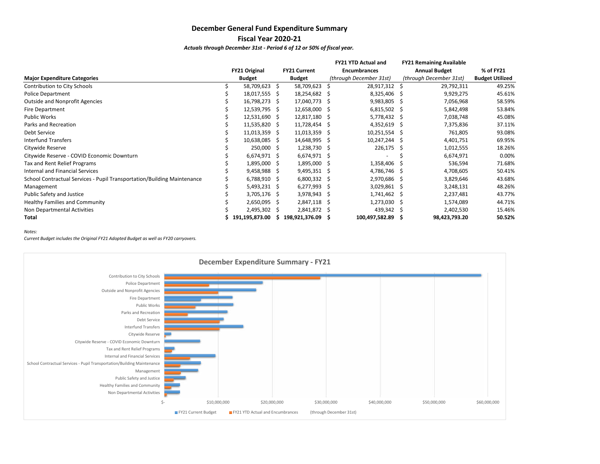### **December General Fund Expenditure Summary Fiscal Year 2020‐21**

*Actuals through December 31st ‐ Period 6 of 12 or 50% of fiscal year.*

|                                                                         |                      |   |                     |    | <b>FY21 YTD Actual and</b> |    | <b>FY21 Remaining Available</b> |                        |
|-------------------------------------------------------------------------|----------------------|---|---------------------|----|----------------------------|----|---------------------------------|------------------------|
|                                                                         | <b>FY21 Original</b> |   | <b>FY21 Current</b> |    | <b>Encumbrances</b>        |    | <b>Annual Budget</b>            | % of FY21              |
| <b>Major Expenditure Categories</b>                                     | <b>Budget</b>        |   | <b>Budget</b>       |    | (through December 31st)    |    | (through December 31st)         | <b>Budget Utilized</b> |
| Contribution to City Schools                                            | 58,709,623 \$        |   | 58,709,623          | S  | 28,917,312                 | -S | 29,792,311                      | 49.25%                 |
| <b>Police Department</b>                                                | 18,017,555 \$        |   | 18,254,682          | -S | 8,325,406                  | -S | 9,929,275                       | 45.61%                 |
| <b>Outside and Nonprofit Agencies</b>                                   | 16,798,273 \$        |   | 17,040,773          | -S | 9,983,805                  | S  | 7,056,968                       | 58.59%                 |
| Fire Department                                                         | 12,539,795 \$        |   | 12,658,000          | -S | $6,815,502$ \$             |    | 5,842,498                       | 53.84%                 |
| <b>Public Works</b>                                                     | 12,531,690 \$        |   | 12,817,180          | -S | 5,778,432 \$               |    | 7,038,748                       | 45.08%                 |
| Parks and Recreation                                                    | 11,535,820 \$        |   | 11,728,454 \$       |    | $4,352,619$ \$             |    | 7,375,836                       | 37.11%                 |
| Debt Service                                                            | $11,013,359$ \$      |   | 11,013,359          | -S | 10,251,554 \$              |    | 761,805                         | 93.08%                 |
| <b>Interfund Transfers</b>                                              | 10,638,085 \$        |   | 14,648,995 \$       |    | 10,247,244                 | -S | 4,401,751                       | 69.95%                 |
| Citywide Reserve                                                        | 250,000 \$           |   | $1,238,730$ \$      |    | 226,175                    | -S | 1,012,555                       | 18.26%                 |
| Citywide Reserve - COVID Economic Downturn                              | 6,674,971 \$         |   | 6,674,971           | -S |                            |    | 6,674,971                       | 0.00%                  |
| Tax and Rent Relief Programs                                            | 1,895,000 \$         |   | 1,895,000           | -S | 1,358,406                  |    | 536,594                         | 71.68%                 |
| Internal and Financial Services                                         | $9,458,988$ \$       |   | 9,495,351           | -S | 4,786,746                  | .S | 4,708,605                       | 50.41%                 |
| School Contractual Services - Pupil Transportation/Building Maintenance | $6,788,910$ \$       |   | $6,800,332$ \$      |    | 2,970,686                  | S  | 3,829,646                       | 43.68%                 |
| Management                                                              | $5,493,231$ \$       |   | 6,277,993           | -S | 3,029,861                  | -S | 3,248,131                       | 48.26%                 |
| Public Safety and Justice                                               | 3,705,176 \$         |   | 3,978,943           | -S | 1,741,462                  | S  | 2,237,481                       | 43.77%                 |
| Healthy Families and Community                                          | $2,650,095$ \$       |   | 2,847,118           | -S | 1,273,030                  | -S | 1,574,089                       | 44.71%                 |
| Non Departmental Activities                                             | 2,495,302 \$         |   | 2,841,872 \$        |    | 439,342                    | -S | 2,402,530                       | 15.46%                 |
| Total                                                                   | \$191,195,873.00     | S | 198,921,376.09      | -5 | 100,497,582.89             | -S | 98,423,793.20                   | 50.52%                 |

*Notes:*

*Current Budget includes the Original FY21 Adopted Budget as well as FY20 carryovers.*

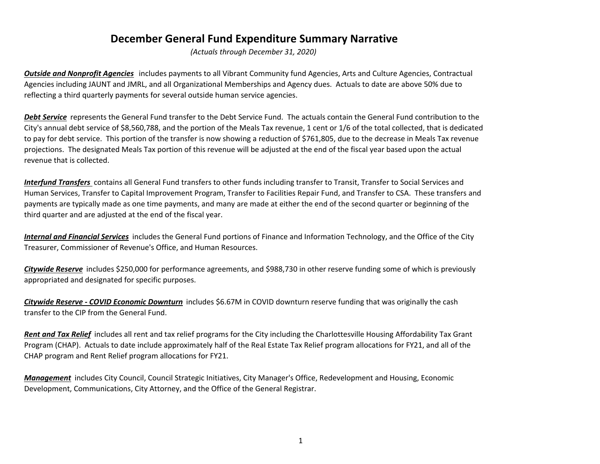## **December General Fund Expenditure Summary Narrative**

*(Actuals through December 31, 2020)*

*Outside and Nonprofit Agencies* includes payments to all Vibrant Community fund Agencies, Arts and Culture Agencies, Contractual Agencies including JAUNT and JMRL, and all Organizational Memberships and Agency dues. Actuals to date are above 50% due to reflecting <sup>a</sup> third quarterly payments for several outside human service agencies.

*Debt Service* represents the General Fund transfer to the Debt Service Fund. The actuals contain the General Fund contribution to the City's annual debt service of \$8,560,788, and the portion of the Meals Tax revenue, <sup>1</sup> cent or 1/6 of the total collected, that is dedicated to pay for debt service. This portion of the transfer is now showing <sup>a</sup> reduction of \$761,805, due to the decrease in Meals Tax revenue projections. The designated Meals Tax portion of this revenue will be adjusted at the end of the fiscal year based upon the actual revenue that is collected.

*Interfund Transfers* contains all General Fund transfers to other funds including transfer to Transit, Transfer to Social Services and Human Services, Transfer to Capital Improvement Program, Transfer to Facilities Repair Fund, and Transfer to CSA. These transfers and payments are typically made as one time payments, and many are made at either the end of the second quarter or beginning of the third quarter and are adjusted at the end of the fiscal year.

*Internal and Financial Services* includes the General Fund portions of Finance and Information Technology, and the Office of the City Treasurer, Commissioner of Revenue's Office, and Human Resources.

*Citywide Reserve* includes \$250,000 for performance agreements, and \$988,730 in other reserve funding some of which is previously appropriated and designated for specific purposes.

*Citywide Reserve ‐ COVID Economic Downturn* includes \$6.67M in COVID downturn reserve funding that was originally the cash transfer to the CIP from the General Fund.

*Rent and Tax Relief* includes all rent and tax relief programs for the City including the Charlottesville Housing Affordability Tax Grant Program (CHAP). Actuals to date include approximately half of the Real Estate Tax Relief program allocations for FY21, and all of the CHAP program and Rent Relief program allocations for FY21.

*Management* includes City Council, Council Strategic Initiatives, City Manager's Office, Redevelopment and Housing, Economic Development, Communications, City Attorney, and the Office of the General Registrar.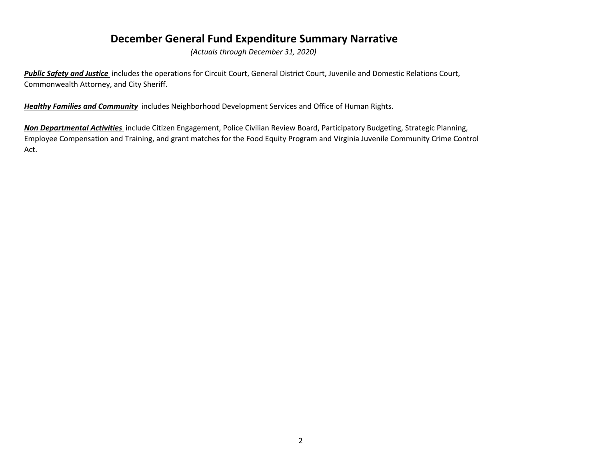## **December General Fund Expenditure Summary Narrative**

*(Actuals through December 31, 2020)*

*Public Safety and Justice* includes the operations for Circuit Court, General District Court, Juvenile and Domestic Relations Court, Commonwealth Attorney, and City Sheriff.

*Healthy Families and Community* includes Neighborhood Development Services and Office of Human Rights.

*Non Departmental Activities* include Citizen Engagement, Police Civilian Review Board, Participatory Budgeting, Strategic Planning, Employee Compensation and Training, and grant matches for the Food Equity Program and Virginia Juvenile Community Crime Control Act.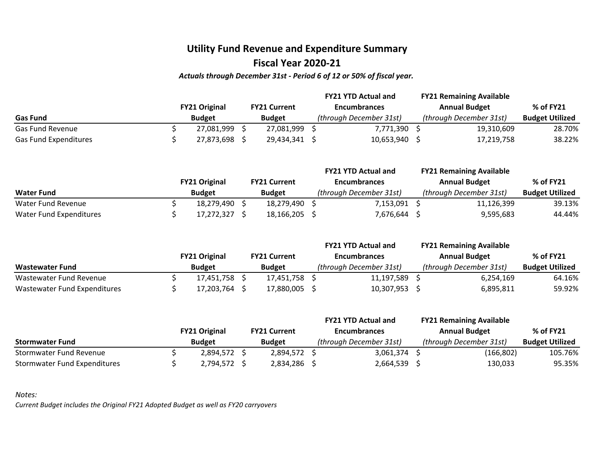## **Utility Fund Revenue and Expenditure Summary Fiscal Year 2020‐21**

#### *Actuals through December 31st ‐ Period 6 of 12 or 50% of fiscal year.*

|                       |  |                      | <b>FY21 YTD Actual and</b> |  |                         |  | <b>FY21 Remaining Available</b> |                        |
|-----------------------|--|----------------------|----------------------------|--|-------------------------|--|---------------------------------|------------------------|
|                       |  | <b>FY21 Original</b> | <b>FY21 Current</b>        |  | <b>Encumbrances</b>     |  | <b>Annual Budget</b>            | % of FY21              |
| <b>Gas Fund</b>       |  | <b>Budget</b>        | <b>Budget</b>              |  | (through December 31st) |  | (through December 31st)         | <b>Budget Utilized</b> |
| Gas Fund Revenue      |  | 27,081,999           | 27,081,999                 |  | 7,771,390               |  | 19,310,609                      | 28.70%                 |
| Gas Fund Expenditures |  | 27,873,698           | 29,434,341 \$              |  | 10,653,940              |  | 17,219,758                      | 38.22%                 |

|                         |                      |                     | <b>FY21 YTD Actual and</b> | <b>FY21 Remaining Available</b> |                        |
|-------------------------|----------------------|---------------------|----------------------------|---------------------------------|------------------------|
|                         | <b>FY21 Original</b> | <b>FY21 Current</b> | <b>Encumbrances</b>        | <b>Annual Budget</b>            | % of FY21              |
| <b>Water Fund</b>       | <b>Budget</b>        | <b>Budget</b>       | (through December 31st)    | (through December 31st)         | <b>Budget Utilized</b> |
| Water Fund Revenue      | 18.279.490           | 18,279,490          | 7,153,091                  | 11,126,399                      | 39.13%                 |
| Water Fund Expenditures | 17,272,327           | 18,166,205          | 7,676,644                  | 9,595,683                       | 44.44%                 |

|                              |  |                      | <b>FY21 YTD Actual and</b> |                     |  |                         | <b>FY21 Remaining Available</b> |                        |
|------------------------------|--|----------------------|----------------------------|---------------------|--|-------------------------|---------------------------------|------------------------|
|                              |  | <b>FY21 Original</b> |                            | <b>FY21 Current</b> |  | <b>Encumbrances</b>     | <b>Annual Budget</b>            | % of FY21              |
| <b>Wastewater Fund</b>       |  | <b>Budget</b>        |                            | <b>Budget</b>       |  | (through December 31st) | (through December 31st)         | <b>Budget Utilized</b> |
| Wastewater Fund Revenue      |  | 17,451,758           |                            | 17.451.758          |  | 11,197,589              | 6,254,169                       | 64.16%                 |
| Wastewater Fund Expenditures |  | 17,203,764           |                            | 17,880,005          |  | 10,307,953              | 6,895,811                       | 59.92%                 |

|                              |                      |                     | <b>FY21 YTD Actual and</b> | <b>FY21 Remaining Available</b> |                        |
|------------------------------|----------------------|---------------------|----------------------------|---------------------------------|------------------------|
|                              | <b>FY21 Original</b> | <b>FY21 Current</b> | <b>Encumbrances</b>        | <b>Annual Budget</b>            | % of FY21              |
| <b>Stormwater Fund</b>       | <b>Budget</b>        | <b>Budget</b>       | (through December 31st)    | (through December 31st)         | <b>Budget Utilized</b> |
| Stormwater Fund Revenue      | 2,894,572 \$         | 2.894.572 \$        | 3.061.374                  | (166, 802)                      | 105.76%                |
| Stormwater Fund Expenditures | 2,794,572 \$         | 2.834.286           | 2,664,539                  | 130,033                         | 95.35%                 |

*Notes:*

*Current Budget includes the Original FY21 Adopted Budget as well as FY20 carryovers*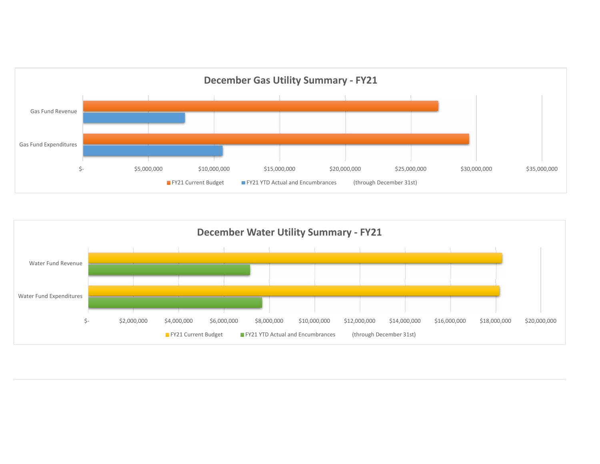